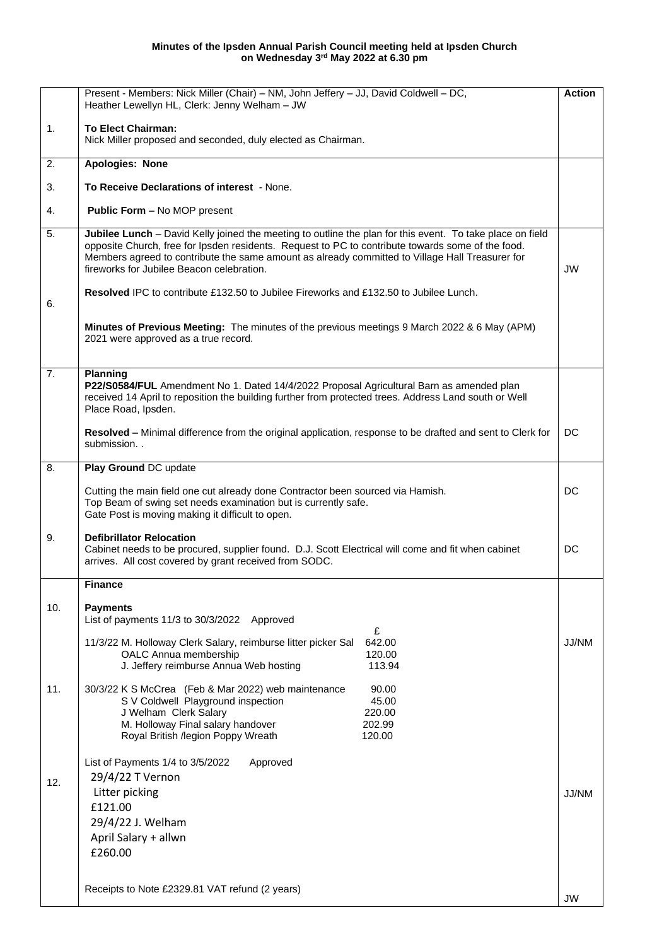## **Minutes of the Ipsden Annual Parish Council meeting held at Ipsden Church on Wednesday 3 rd May 2022 at 6.30 pm**

|     | Present - Members: Nick Miller (Chair) - NM, John Jeffery - JJ, David Coldwell - DC,<br>Heather Lewellyn HL, Clerk: Jenny Welham - JW                                                                                                                                                                                                                          | <b>Action</b> |
|-----|----------------------------------------------------------------------------------------------------------------------------------------------------------------------------------------------------------------------------------------------------------------------------------------------------------------------------------------------------------------|---------------|
| 1.  | <b>To Elect Chairman:</b><br>Nick Miller proposed and seconded, duly elected as Chairman.                                                                                                                                                                                                                                                                      |               |
| 2.  | <b>Apologies: None</b>                                                                                                                                                                                                                                                                                                                                         |               |
| 3.  | To Receive Declarations of interest - None.                                                                                                                                                                                                                                                                                                                    |               |
| 4.  | Public Form - No MOP present                                                                                                                                                                                                                                                                                                                                   |               |
| 5.  | Jubilee Lunch - David Kelly joined the meeting to outline the plan for this event. To take place on field<br>opposite Church, free for Ipsden residents. Request to PC to contribute towards some of the food.<br>Members agreed to contribute the same amount as already committed to Village Hall Treasurer for<br>fireworks for Jubilee Beacon celebration. | <b>JW</b>     |
| 6.  | <b>Resolved IPC to contribute £132.50 to Jubilee Fireworks and £132.50 to Jubilee Lunch.</b>                                                                                                                                                                                                                                                                   |               |
|     | Minutes of Previous Meeting: The minutes of the previous meetings 9 March 2022 & 6 May (APM)<br>2021 were approved as a true record.                                                                                                                                                                                                                           |               |
| 7.  | Planning<br>P22/S0584/FUL Amendment No 1. Dated 14/4/2022 Proposal Agricultural Barn as amended plan<br>received 14 April to reposition the building further from protected trees. Address Land south or Well<br>Place Road, Ipsden.                                                                                                                           |               |
|     | Resolved - Minimal difference from the original application, response to be drafted and sent to Clerk for<br>submission                                                                                                                                                                                                                                        | DC            |
| 8.  | Play Ground DC update                                                                                                                                                                                                                                                                                                                                          |               |
|     | Cutting the main field one cut already done Contractor been sourced via Hamish.<br>Top Beam of swing set needs examination but is currently safe.<br>Gate Post is moving making it difficult to open.                                                                                                                                                          | DC            |
| 9.  | <b>Defibrillator Relocation</b><br>Cabinet needs to be procured, supplier found. D.J. Scott Electrical will come and fit when cabinet<br>arrives. All cost covered by grant received from SODC.                                                                                                                                                                | DC            |
|     | <b>Finance</b>                                                                                                                                                                                                                                                                                                                                                 |               |
| 10. | <b>Payments</b><br>List of payments 11/3 to 30/3/2022 Approved                                                                                                                                                                                                                                                                                                 |               |
|     | £<br>642.00<br>11/3/22 M. Holloway Clerk Salary, reimburse litter picker Sal<br>OALC Annua membership<br>120.00<br>J. Jeffery reimburse Annua Web hosting<br>113.94                                                                                                                                                                                            | JJ/NM         |
| 11. | 30/3/22 K S McCrea (Feb & Mar 2022) web maintenance<br>90.00<br>S V Coldwell Playground inspection<br>45.00<br>J Welham Clerk Salary<br>220.00<br>M. Holloway Final salary handover<br>202.99<br>Royal British /legion Poppy Wreath<br>120.00                                                                                                                  |               |
| 12. | List of Payments 1/4 to 3/5/2022<br>Approved<br>29/4/22 T Vernon<br>Litter picking<br>£121.00<br>29/4/22 J. Welham<br>April Salary + allwn<br>£260.00                                                                                                                                                                                                          | JJ/NM         |
|     | Receipts to Note £2329.81 VAT refund (2 years)                                                                                                                                                                                                                                                                                                                 | JW            |